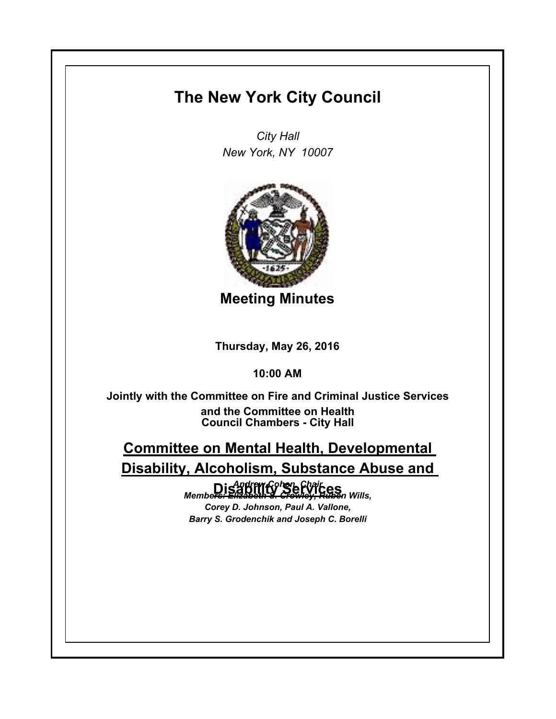## **The New York City Council**

*City Hall New York, NY 10007*



**Meeting Minutes**

**Thursday, May 26, 2016**

**10:00 AM**

**Council Chambers - City Hall Jointly with the Committee on Fire and Criminal Justice Services and the Committee on Health**

**Committee on Mental Health, Developmental Disability, Alcoholism, Substance Abuse and** 

**Disability Services** *Andrew Cohen, Chair Members: Elizabeth S. Crowley, Ruben Wills,* 

*Corey D. Johnson, Paul A. Vallone, Barry S. Grodenchik and Joseph C. Borelli*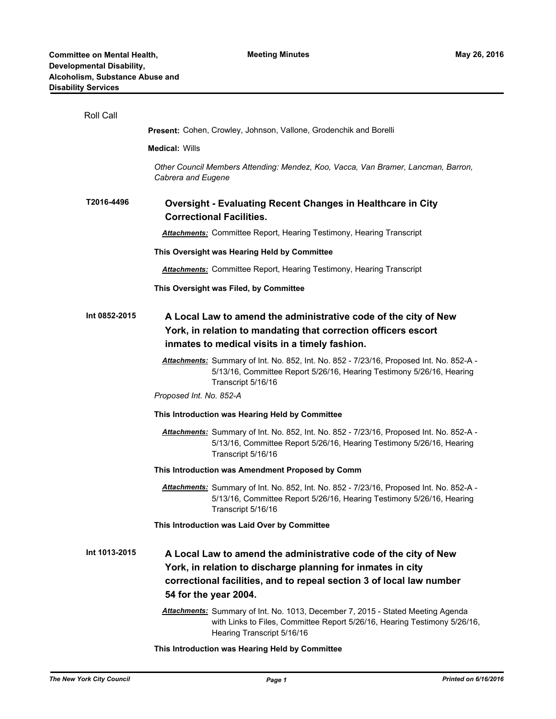| Roll Call     |                                                                                                                                                                                                                                 |
|---------------|---------------------------------------------------------------------------------------------------------------------------------------------------------------------------------------------------------------------------------|
|               | Present: Cohen, Crowley, Johnson, Vallone, Grodenchik and Borelli                                                                                                                                                               |
|               | <b>Medical: Wills</b>                                                                                                                                                                                                           |
|               | Other Council Members Attending: Mendez, Koo, Vacca, Van Bramer, Lancman, Barron,<br>Cabrera and Eugene                                                                                                                         |
| T2016-4496    | <b>Oversight - Evaluating Recent Changes in Healthcare in City</b><br><b>Correctional Facilities.</b>                                                                                                                           |
|               | <b>Attachments:</b> Committee Report, Hearing Testimony, Hearing Transcript                                                                                                                                                     |
|               | This Oversight was Hearing Held by Committee                                                                                                                                                                                    |
|               | <b>Attachments:</b> Committee Report, Hearing Testimony, Hearing Transcript                                                                                                                                                     |
|               | This Oversight was Filed, by Committee                                                                                                                                                                                          |
| Int 0852-2015 | A Local Law to amend the administrative code of the city of New<br>York, in relation to mandating that correction officers escort<br>inmates to medical visits in a timely fashion.                                             |
|               | Attachments: Summary of Int. No. 852, Int. No. 852 - 7/23/16, Proposed Int. No. 852-A -<br>5/13/16, Committee Report 5/26/16, Hearing Testimony 5/26/16, Hearing<br>Transcript 5/16/16                                          |
|               | Proposed Int. No. 852-A                                                                                                                                                                                                         |
|               | This Introduction was Hearing Held by Committee                                                                                                                                                                                 |
|               | Attachments: Summary of Int. No. 852, Int. No. 852 - 7/23/16, Proposed Int. No. 852-A -<br>5/13/16, Committee Report 5/26/16, Hearing Testimony 5/26/16, Hearing<br>Transcript 5/16/16                                          |
|               | This Introduction was Amendment Proposed by Comm                                                                                                                                                                                |
|               | Attachments: Summary of Int. No. 852, Int. No. 852 - 7/23/16, Proposed Int. No. 852-A -<br>5/13/16, Committee Report 5/26/16, Hearing Testimony 5/26/16, Hearing<br>Transcript 5/16/16                                          |
|               | This Introduction was Laid Over by Committee                                                                                                                                                                                    |
| Int 1013-2015 | A Local Law to amend the administrative code of the city of New<br>York, in relation to discharge planning for inmates in city<br>correctional facilities, and to repeal section 3 of local law number<br>54 for the year 2004. |
|               | Attachments: Summary of Int. No. 1013, December 7, 2015 - Stated Meeting Agenda<br>with Links to Files, Committee Report 5/26/16, Hearing Testimony 5/26/16,<br>Hearing Transcript 5/16/16                                      |
|               | This Introduction was Hearing Held by Committee                                                                                                                                                                                 |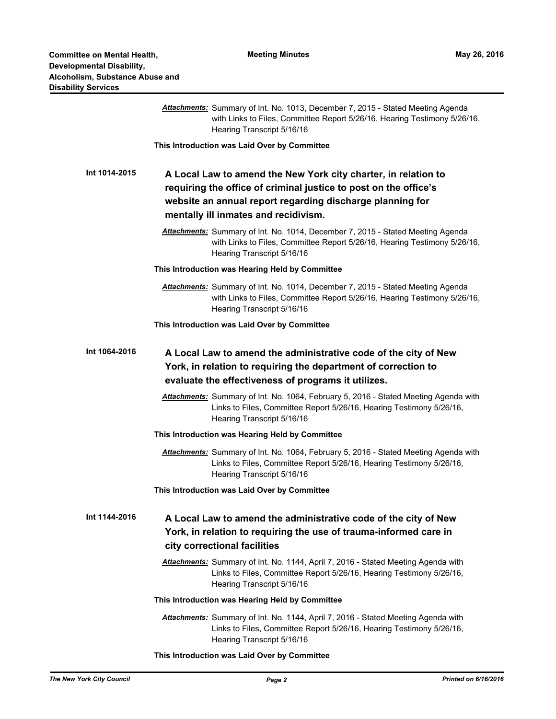| y Services    |                                                                                                                                                                                                                                         |
|---------------|-----------------------------------------------------------------------------------------------------------------------------------------------------------------------------------------------------------------------------------------|
|               | Attachments: Summary of Int. No. 1013, December 7, 2015 - Stated Meeting Agenda<br>with Links to Files, Committee Report 5/26/16, Hearing Testimony 5/26/16,<br>Hearing Transcript 5/16/16                                              |
|               | This Introduction was Laid Over by Committee                                                                                                                                                                                            |
| Int 1014-2015 | A Local Law to amend the New York city charter, in relation to<br>requiring the office of criminal justice to post on the office's<br>website an annual report regarding discharge planning for<br>mentally ill inmates and recidivism. |
|               | Attachments: Summary of Int. No. 1014, December 7, 2015 - Stated Meeting Agenda<br>with Links to Files, Committee Report 5/26/16, Hearing Testimony 5/26/16,<br>Hearing Transcript 5/16/16                                              |
|               | This Introduction was Hearing Held by Committee                                                                                                                                                                                         |
|               | Attachments: Summary of Int. No. 1014, December 7, 2015 - Stated Meeting Agenda<br>with Links to Files, Committee Report 5/26/16, Hearing Testimony 5/26/16,<br>Hearing Transcript 5/16/16                                              |
|               | This Introduction was Laid Over by Committee                                                                                                                                                                                            |
| Int 1064-2016 | A Local Law to amend the administrative code of the city of New<br>York, in relation to requiring the department of correction to                                                                                                       |
|               | evaluate the effectiveness of programs it utilizes.                                                                                                                                                                                     |
|               | Attachments: Summary of Int. No. 1064, February 5, 2016 - Stated Meeting Agenda with<br>Links to Files, Committee Report 5/26/16, Hearing Testimony 5/26/16,<br>Hearing Transcript 5/16/16                                              |
|               | This Introduction was Hearing Held by Committee                                                                                                                                                                                         |
|               | Attachments: Summary of Int. No. 1064, February 5, 2016 - Stated Meeting Agenda with<br>Links to Files, Committee Report 5/26/16, Hearing Testimony 5/26/16,<br>Hearing Transcript 5/16/16                                              |
|               | This Introduction was Laid Over by Committee                                                                                                                                                                                            |
| Int 1144-2016 | A Local Law to amend the administrative code of the city of New<br>York, in relation to requiring the use of trauma-informed care in<br>city correctional facilities                                                                    |
|               | <b>Attachments:</b> Summary of Int. No. 1144, April 7, 2016 - Stated Meeting Agenda with<br>Links to Files, Committee Report 5/26/16, Hearing Testimony 5/26/16,<br>Hearing Transcript 5/16/16                                          |
|               | This Introduction was Hearing Held by Committee                                                                                                                                                                                         |
|               | Attachments: Summary of Int. No. 1144, April 7, 2016 - Stated Meeting Agenda with<br>Links to Files, Committee Report 5/26/16, Hearing Testimony 5/26/16,<br>Hearing Transcript 5/16/16                                                 |

**This Introduction was Laid Over by Committee**